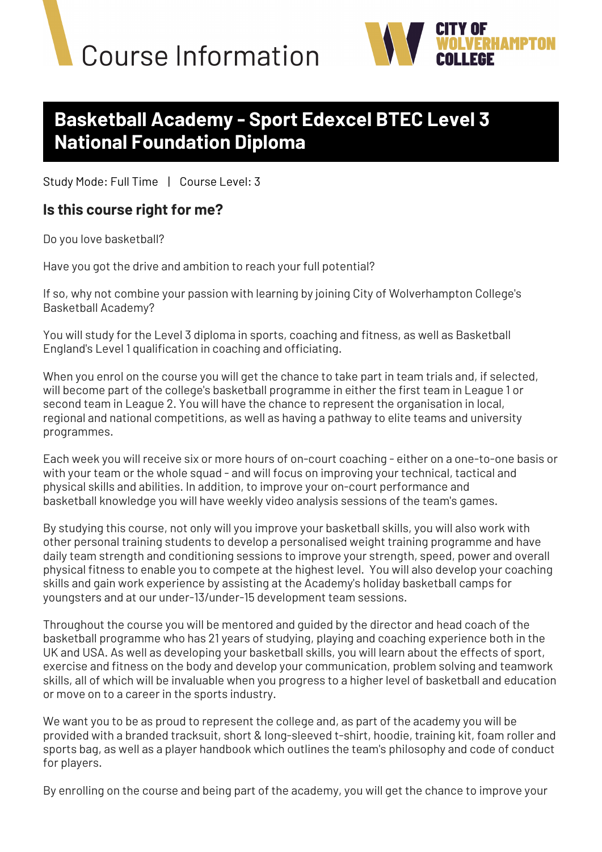



# **Basketball Academy - Sport Edexcel BTEC Level 3 National Foundation Diploma**

Study Mode: Full Time | Course Level: 3

#### **Is this course right for me?**

Do you love basketball?

Have you got the drive and ambition to reach your full potential?

If so, why not combine your passion with learning by joining City of Wolverhampton College's Basketball Academy?   

You will study for the Level 3 diploma in sports, coaching and fitness, as well as Basketball England's Level 1 qualification in coaching and officiating.   

When you enrol on the course you will get the chance to take part in team trials and, if selected, will become part of the college's basketball programme in either the first team in League 1 or second team in League 2. You will have the chance to represent the organisation in local, regional and national competitions, as well as having a pathway to elite teams and university programmes.

Each week you will receive six or more hours of on-court coaching - either on a one-to-one basis or with your team or the whole squad - and will focus on improving your technical, tactical and physical skills and abilities. In addition, to improve your on-court performance and basketball knowledge you will have weekly video analysis sessions of the team's games.

By studying this course, not only will you improve your basketball skills, you will also work with other personal training students to develop a personalised weight training programme and have daily team strength and conditioning sessions to improve your strength, speed, power and overall physical fitness to enable you to compete at the highest level. You will also develop your coaching skills and gain work experience by assisting at the Academy's holiday basketball camps for youngsters and at our under-13/under-15 development team sessions. 

Throughout the course you will be mentored and guided by the director and head coach of the basketball programme who has 21 years of studying, playing and coaching experience both in the UK and USA. As well as developing your basketball skills, you will learn about the effects of sport, exercise and fitness on the body and develop your communication, problem solving and teamwork skills, all of which will be invaluable when you progress to a higher level of basketball and education or move on to a career in the sports industry. 

We want you to be as proud to represent the college and, as part of the academy you will be provided with a branded tracksuit, short & long-sleeved t-shirt, hoodie, training kit, foam roller and sports bag, as well as a player handbook which outlines the team's philosophy and code of conduct for players.  

By enrolling on the course and being part of the academy, you will get the chance to improve your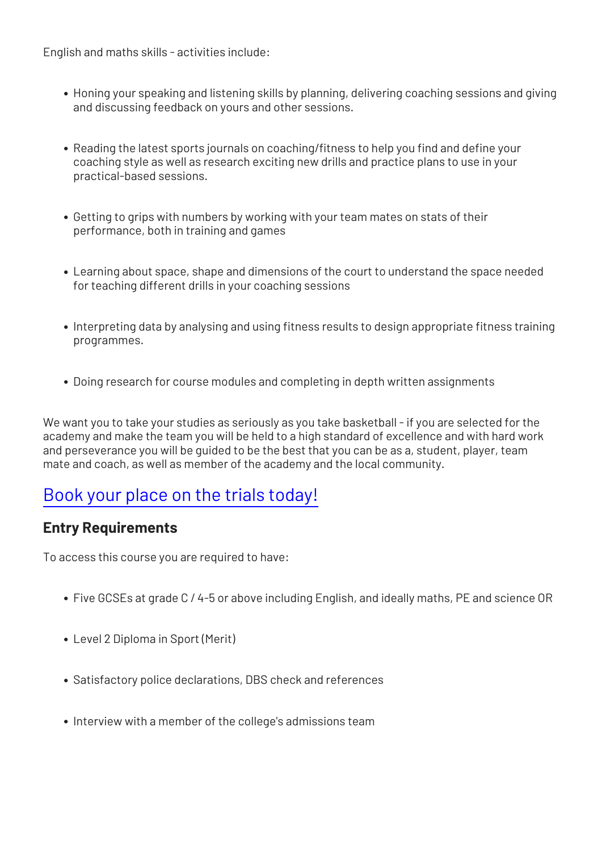English and maths skills - activities include:

- Honing your speaking and listening skills by planning, delivering coaching sessions and giving and discussing feedback on yours and other sessions.
- Reading the latest sports journals on coaching/fitness to help you find and define your coaching style as well as research exciting new drills and practice plans to use in your practical-based sessions.
- Getting to grips with numbers by working with your team mates on stats of their performance, both in training and games
- Learning about space, shape and dimensions of the court to understand the space needed for teaching different drills in your coaching sessions
- Interpreting data by analysing and using fitness results to design appropriate fitness training programmes.
- Doing research for course modules and completing in depth written assignments

We want you to take your studies as seriously as you take basketball - if you are selected for the academy and make the team you will be held to a high standard of excellence and with hard work and perseverance you will be guided to be the best that you can be as a, student, player, team mate and coach, as well as member of the academy and the local community.

# [Book your place on the trials today!](https://forms.office.com/Pages/ResponsePage.aspx?id=MGiE95mlWECLAJ2oTSWGmiDl--tSiJBGopnaLlm-KrlUM01FWDMyMjNLSlNWM0FONTNZWTZHS0s4NC4u)

#### **Entry Requirements**

To access this course you are required to have:

- Five GCSEs at grade C / 4-5 or above including English, and ideally maths, PE and science OR
- Level 2 Diploma in Sport (Merit)
- Satisfactory police declarations, DBS check and references
- Interview with a member of the college's admissions team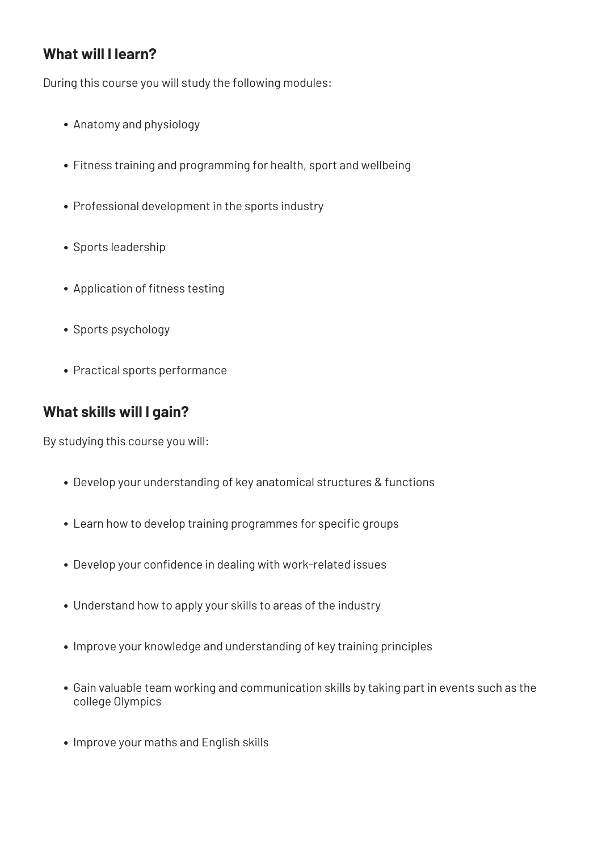### **What will I learn?**

During this course you will study the following modules:

- Anatomy and physiology
- Fitness training and programming for health, sport and wellbeing
- Professional development in the sports industry
- Sports leadership
- Application of fitness testing
- Sports psychology
- Practical sports performance

### **What skills will I gain?**

By studying this course you will:

- Develop your understanding of key anatomical structures & functions
- Learn how to develop training programmes for specific groups
- Develop your confidence in dealing with work-related issues
- Understand how to apply your skills to areas of the industry
- Improve your knowledge and understanding of key training principles
- Gain valuable team working and communication skills by taking part in events such as the college Olympics
- Improve your maths and English skills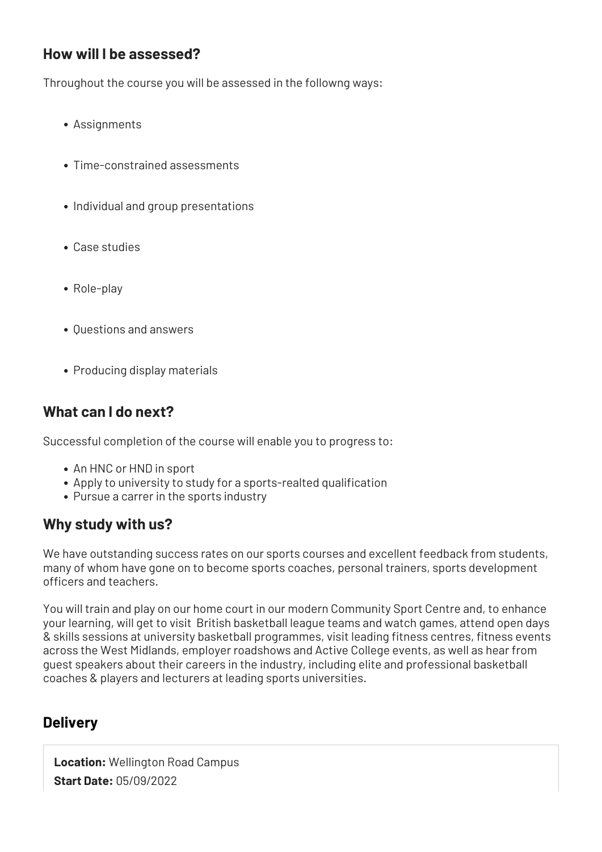#### **How will I be assessed?**

Throughout the course you will be assessed in the followng ways:

- Assignments
- Time-constrained assessments
- Individual and group presentations
- Case studies
- Role-play
- Questions and answers
- Producing display materials

## **What can I do next?**

Successful completion of the course will enable you to progress to:

- An HNC or HND in sport
- Apply to university to study for a sports-realted qualification
- Pursue a carrer in the sports industry

### **Why study with us?**

We have outstanding success rates on our sports courses and excellent feedback from students, many of whom have gone on to become sports coaches, personal trainers, sports development officers and teachers. 

You will train and play on our home court in our modern Community Sport Centre and, to enhance your learning, will get to visit  British basketball league teams and watch games, attend open days & skills sessions at university basketball programmes, visit leading fitness centres, fitness events across the West Midlands, employer roadshows and Active College events, as well as hear from guest speakers about their careers in the industry, including elite and professional basketball coaches & players and lecturers at leading sports universities.

### **Delivery**

**Location:** Wellington Road Campus **Start Date:** 05/09/2022